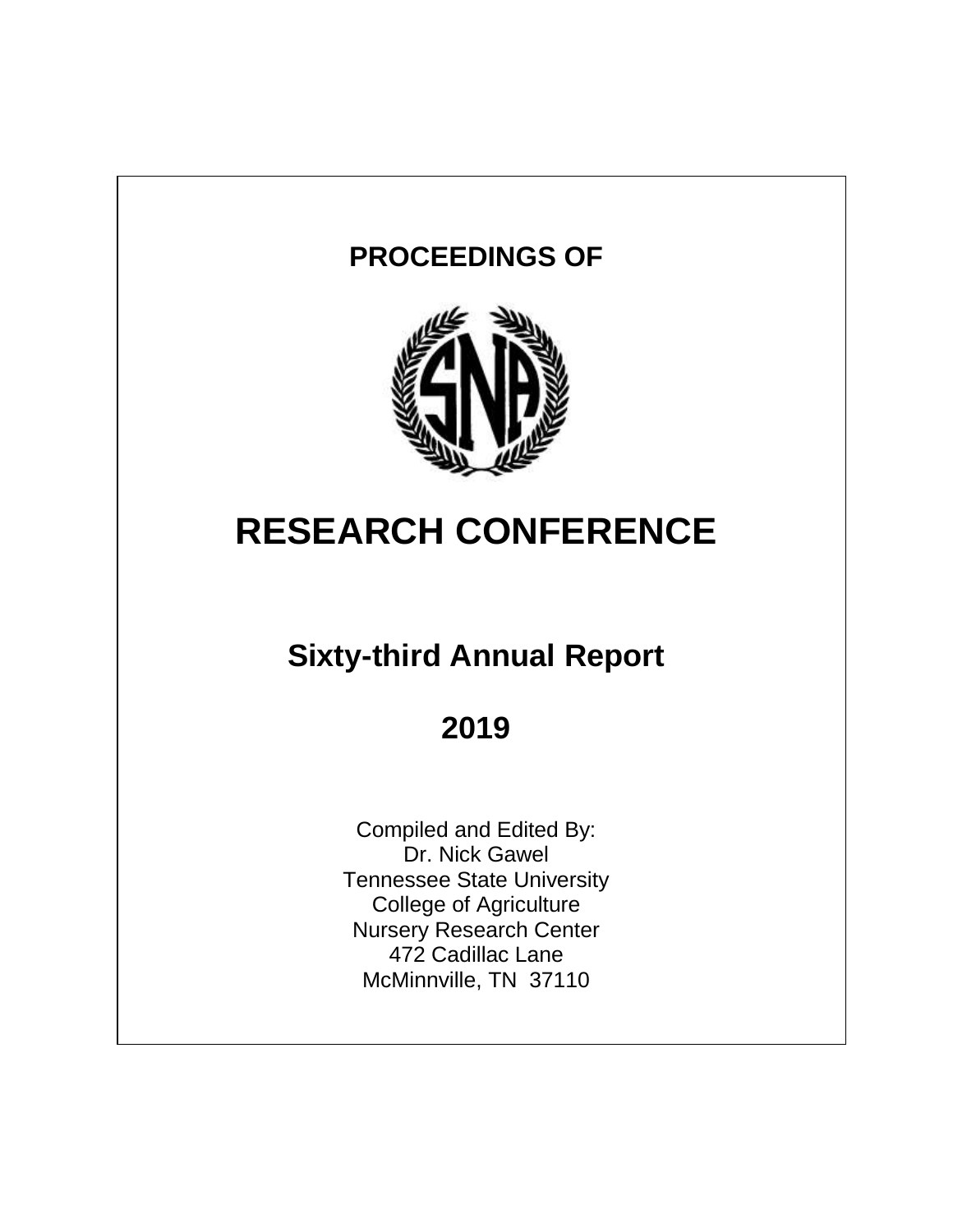# **PROCEEDINGS OF**



# **RESEARCH CONFERENCE**

# **Sixty-third Annual Report**

# **2019**

Compiled and Edited By: Dr. Nick Gawel Tennessee State University College of Agriculture Nursery Research Center 472 Cadillac Lane McMinnville, TN 37110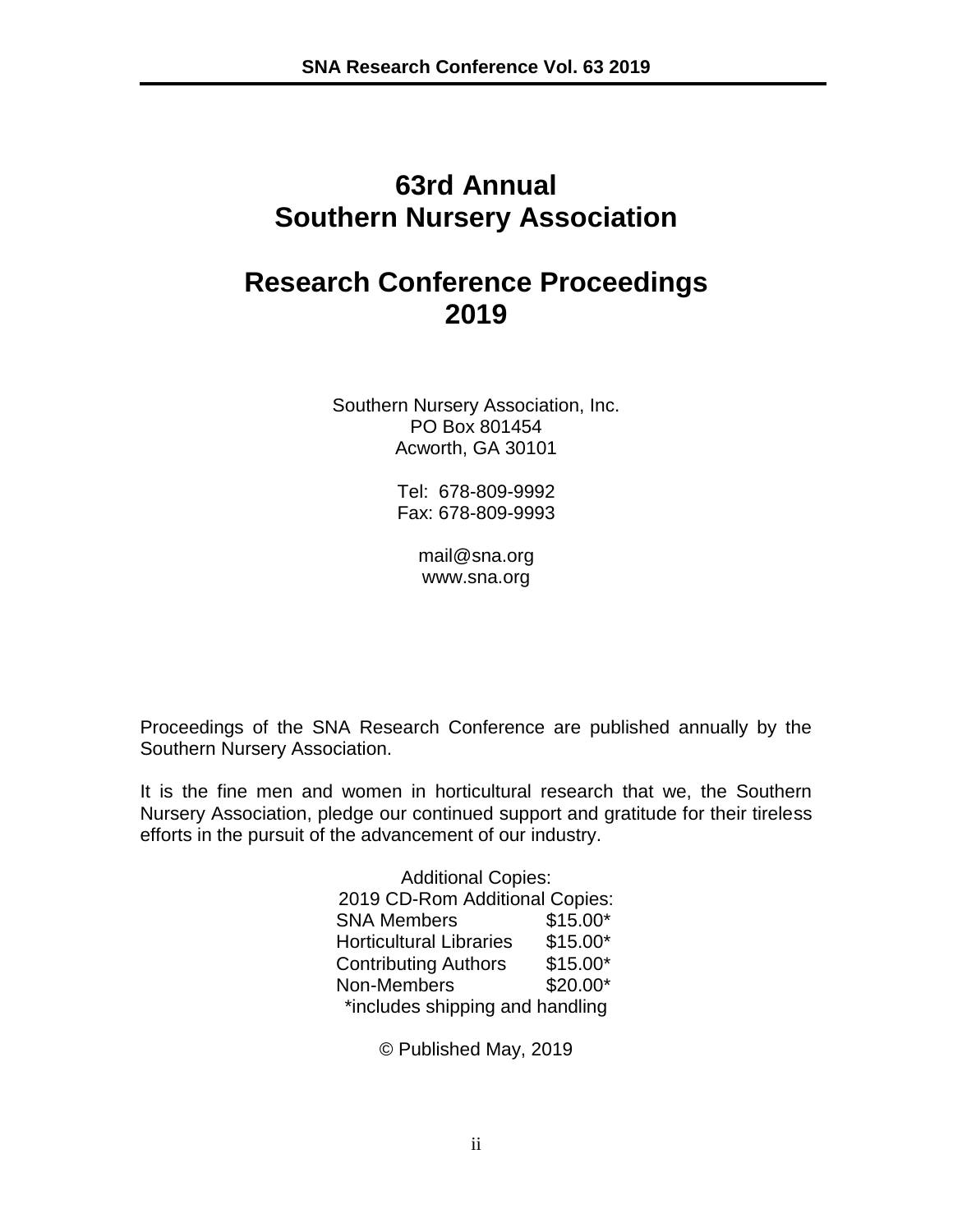# **63rd Annual Southern Nursery Association**

# **Research Conference Proceedings 2019**

Southern Nursery Association, Inc. PO Box 801454 Acworth, GA 30101

> Tel: 678-809-9992 Fax: 678-809-9993

> > [mail@sna.org](mailto:mail@sna.org) www.sna.org

Proceedings of the SNA Research Conference are published annually by the Southern Nursery Association.

It is the fine men and women in horticultural research that we, the Southern Nursery Association, pledge our continued support and gratitude for their tireless efforts in the pursuit of the advancement of our industry.

> Additional Copies: 2019 CD-Rom Additional Copies: SNA Members \$15.00\* Horticultural Libraries \$15.00\* Contributing Authors \$15.00\* Non-Members \$20.00\* \*includes shipping and handling

> > © Published May, 2019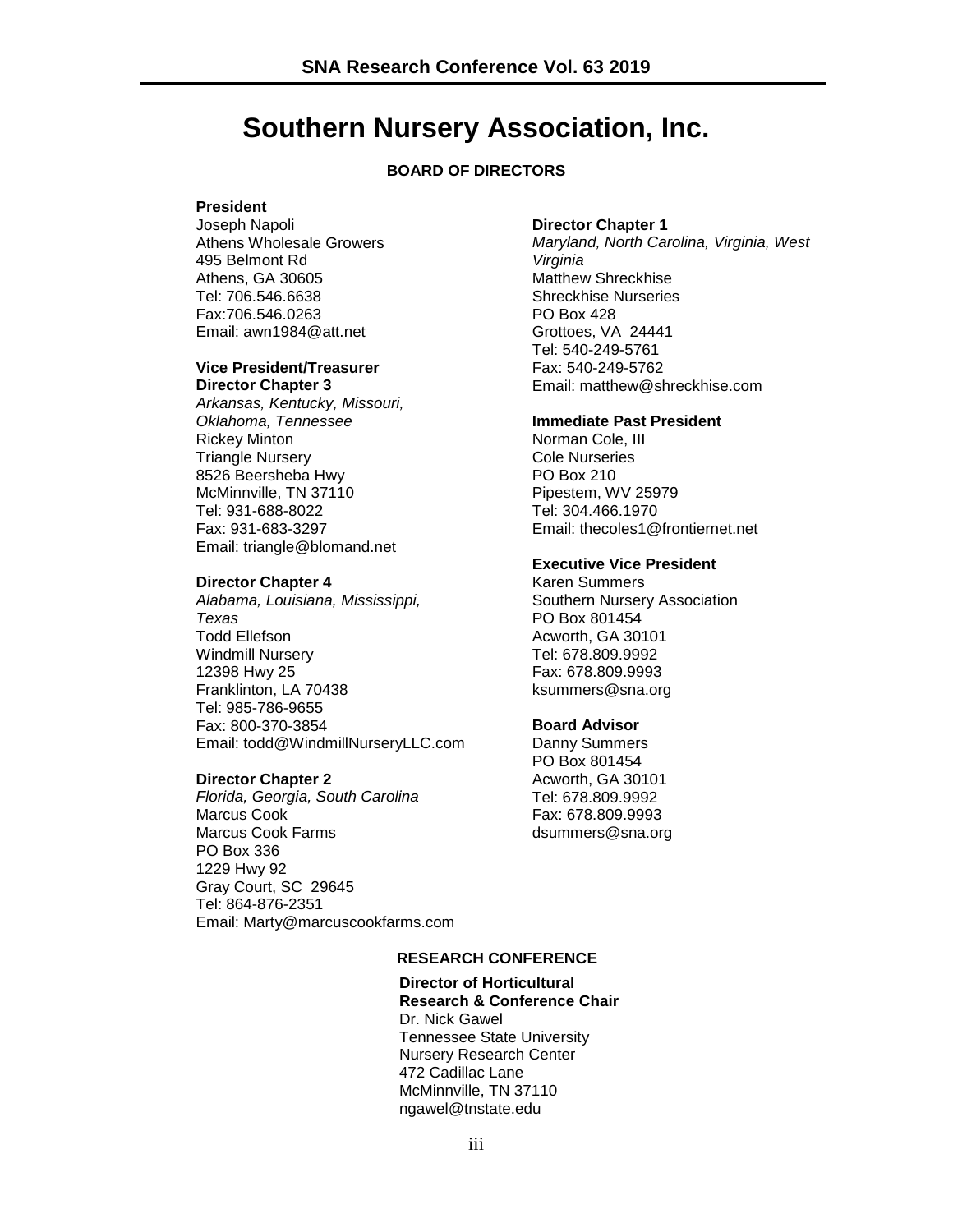### **Southern Nursery Association, Inc.**

#### **BOARD OF DIRECTORS**

#### **President**

Joseph Napoli Athens Wholesale Growers 495 Belmont Rd Athens, GA 30605 Tel: 706.546.6638 Fax:706.546.0263 Email: awn1984@att.net

#### **Vice President/Treasurer Director Chapter 3**

*Arkansas, Kentucky, Missouri, Oklahoma, Tennessee* Rickey Minton Triangle Nursery 8526 Beersheba Hwy McMinnville, TN 37110 Tel: 931-688-8022 Fax: 931-683-3297 Email: triangle@blomand.net

#### **Director Chapter 4**

*Alabama, Louisiana, Mississippi, Texas* Todd Ellefson Windmill Nursery 12398 Hwy 25 Franklinton, LA 70438 Tel: 985-786-9655 Fax: 800-370-3854 Email: todd@WindmillNurseryLLC.com

#### **Director Chapter 2**

*Florida, Georgia, South Carolina* Marcus Cook Marcus Cook Farms PO Box 336 1229 Hwy 92 Gray Court, SC 29645 Tel: 864-876-2351 Email: [Marty@marcuscookfarms.com](mailto:Marty@marcuscookfarms.com)

#### **Director Chapter 1**

*Maryland, North Carolina, Virginia, West Virginia* Matthew Shreckhise Shreckhise Nurseries PO Box 428 Grottoes, VA 24441 Tel: 540-249-5761 Fax: 540-249-5762 Email: [matthew@shreckhise.com](mailto:matthew@shreckhise.com)

#### **Immediate Past President**

Norman Cole, III Cole Nurseries PO Box 210 Pipestem, WV 25979 Tel: 304.466.1970 Email: thecoles1@frontiernet.net

#### **Executive Vice President**

Karen Summers Southern Nursery Association PO Box 801454 Acworth, GA 30101 Tel: 678.809.9992 Fax: 678.809.9993 [ksummers@sna.org](mailto:ksummers@sna.org)

#### **Board Advisor**

Danny Summers PO Box 801454 Acworth, GA 30101 Tel: 678.809.9992 Fax: 678.809.9993 [dsummers@sna.org](mailto:dsummers@sna.org)

#### **RESEARCH CONFERENCE**

#### **Director of Horticultural Research & Conference Chair** Dr. Nick Gawel Tennessee State University

Nursery Research Center 472 Cadillac Lane McMinnville, TN 37110 ngawel@tnstate.edu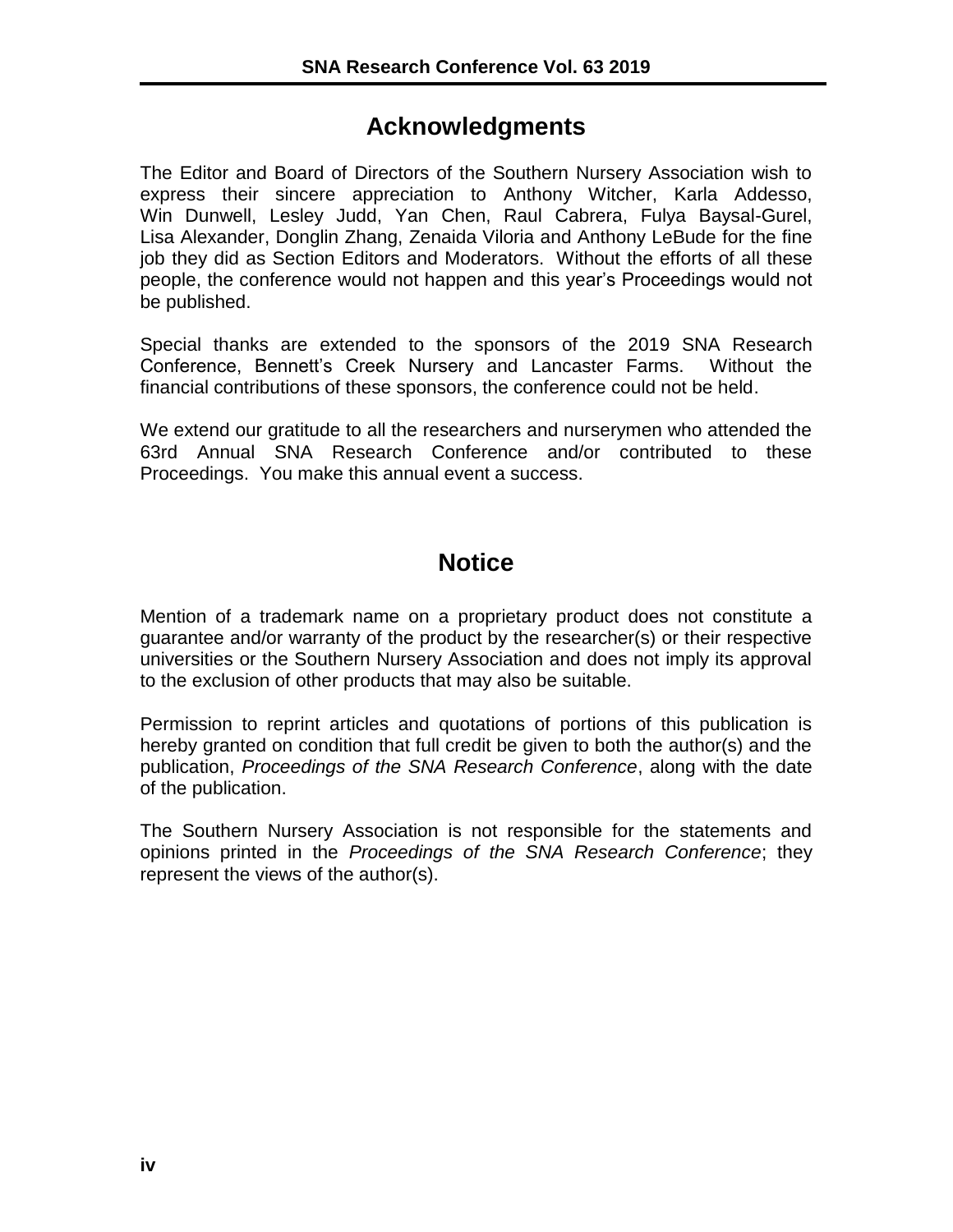### **Acknowledgments**

The Editor and Board of Directors of the Southern Nursery Association wish to express their sincere appreciation to Anthony Witcher, Karla Addesso, Win Dunwell, Lesley Judd, Yan Chen, Raul Cabrera, Fulya Baysal-Gurel, Lisa Alexander, Donglin Zhang, Zenaida Viloria and Anthony LeBude for the fine job they did as Section Editors and Moderators. Without the efforts of all these people, the conference would not happen and this year's Proceedings would not be published.

Special thanks are extended to the sponsors of the 2019 SNA Research Conference, Bennett's Creek Nursery and Lancaster Farms. Without the financial contributions of these sponsors, the conference could not be held.

We extend our gratitude to all the researchers and nurserymen who attended the 63rd Annual SNA Research Conference and/or contributed to these Proceedings. You make this annual event a success.

### **Notice**

Mention of a trademark name on a proprietary product does not constitute a guarantee and/or warranty of the product by the researcher(s) or their respective universities or the Southern Nursery Association and does not imply its approval to the exclusion of other products that may also be suitable.

Permission to reprint articles and quotations of portions of this publication is hereby granted on condition that full credit be given to both the author(s) and the publication, *Proceedings of the SNA Research Conference*, along with the date of the publication.

The Southern Nursery Association is not responsible for the statements and opinions printed in the *Proceedings of the SNA Research Conference*; they represent the views of the author(s).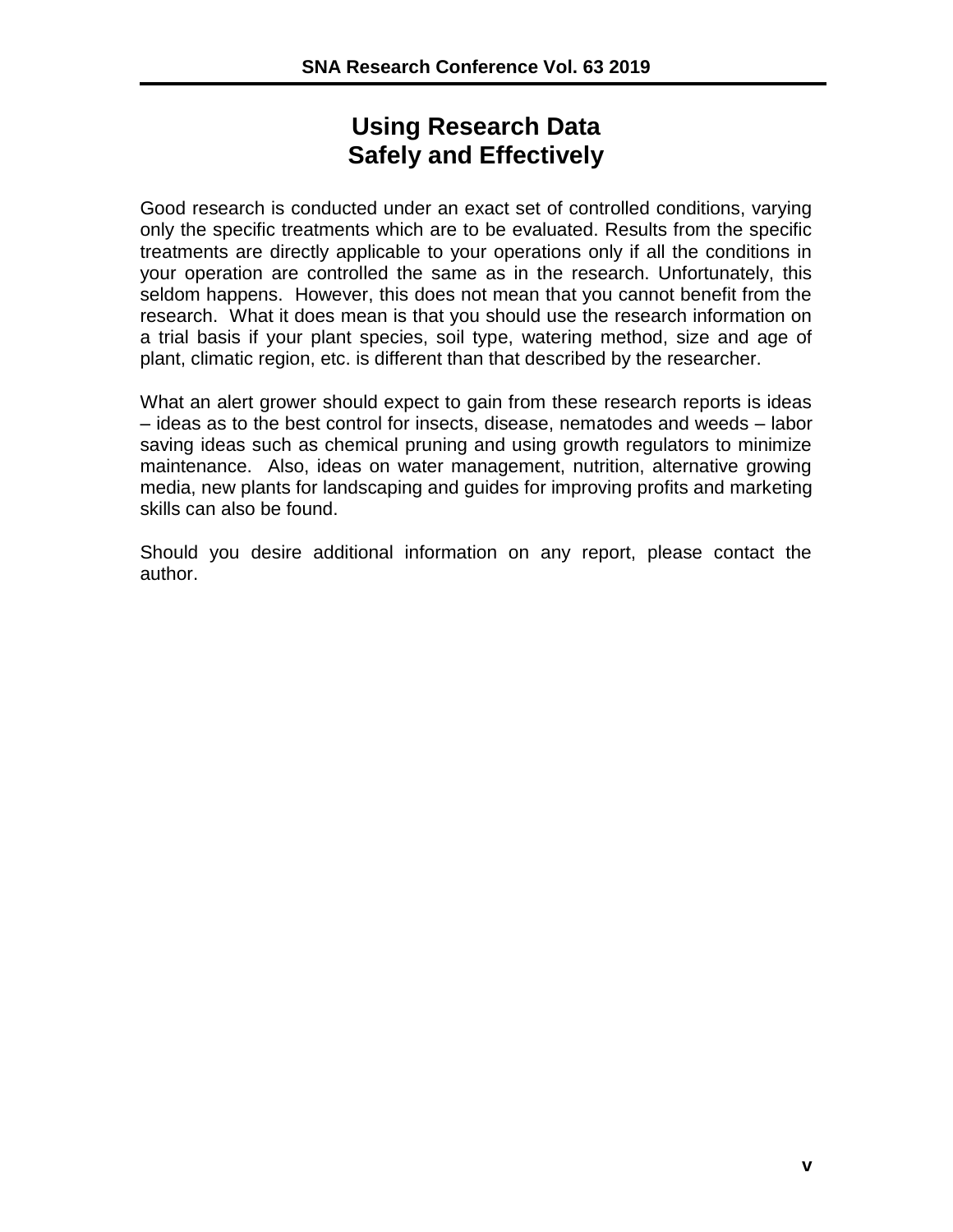### **Using Research Data Safely and Effectively**

Good research is conducted under an exact set of controlled conditions, varying only the specific treatments which are to be evaluated. Results from the specific treatments are directly applicable to your operations only if all the conditions in your operation are controlled the same as in the research. Unfortunately, this seldom happens. However, this does not mean that you cannot benefit from the research. What it does mean is that you should use the research information on a trial basis if your plant species, soil type, watering method, size and age of plant, climatic region, etc. is different than that described by the researcher.

What an alert grower should expect to gain from these research reports is ideas – ideas as to the best control for insects, disease, nematodes and weeds – labor saving ideas such as chemical pruning and using growth regulators to minimize maintenance. Also, ideas on water management, nutrition, alternative growing media, new plants for landscaping and guides for improving profits and marketing skills can also be found.

Should you desire additional information on any report, please contact the author.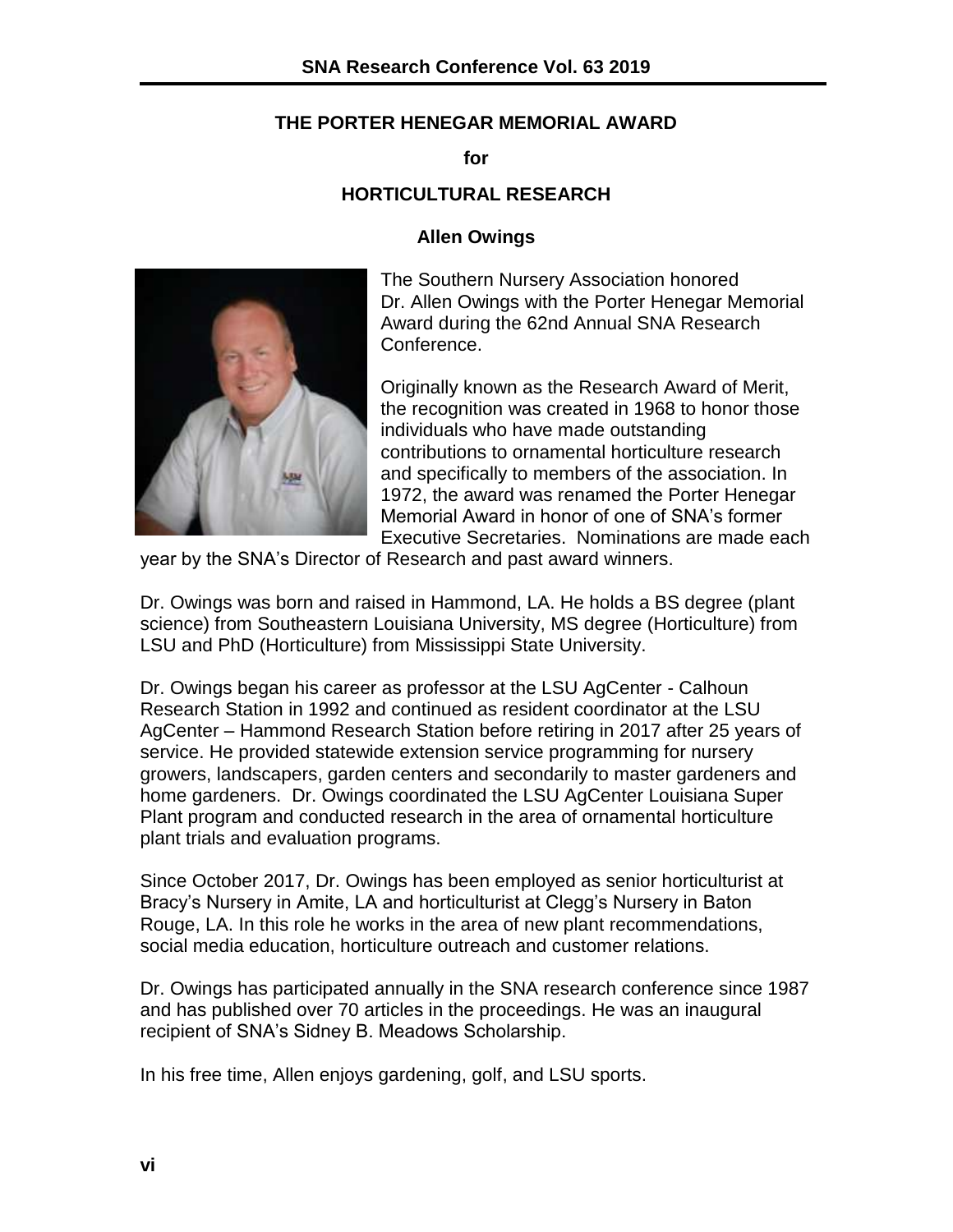### **THE PORTER HENEGAR MEMORIAL AWARD**

**for**

### **HORTICULTURAL RESEARCH**

### **Allen Owings**



The Southern Nursery Association honored Dr. Allen Owings with the Porter Henegar Memorial Award during the 62nd Annual SNA Research Conference.

Originally known as the Research Award of Merit, the recognition was created in 1968 to honor those individuals who have made outstanding contributions to ornamental horticulture research and specifically to members of the association. In 1972, the award was renamed the Porter Henegar Memorial Award in honor of one of SNA's former Executive Secretaries. Nominations are made each

year by the SNA's Director of Research and past award winners.

Dr. Owings was born and raised in Hammond, LA. He holds a BS degree (plant science) from Southeastern Louisiana University, MS degree (Horticulture) from LSU and PhD (Horticulture) from Mississippi State University.

Dr. Owings began his career as professor at the LSU AgCenter - Calhoun Research Station in 1992 and continued as resident coordinator at the LSU AgCenter – Hammond Research Station before retiring in 2017 after 25 years of service. He provided statewide extension service programming for nursery growers, landscapers, garden centers and secondarily to master gardeners and home gardeners. Dr. Owings coordinated the LSU AgCenter Louisiana Super Plant program and conducted research in the area of ornamental horticulture plant trials and evaluation programs.

Since October 2017, Dr. Owings has been employed as senior horticulturist at Bracy's Nursery in Amite, LA and horticulturist at Clegg's Nursery in Baton Rouge, LA. In this role he works in the area of new plant recommendations, social media education, horticulture outreach and customer relations.

Dr. Owings has participated annually in the SNA research conference since 1987 and has published over 70 articles in the proceedings. He was an inaugural recipient of SNA's Sidney B. Meadows Scholarship.

In his free time, Allen enjoys gardening, golf, and LSU sports.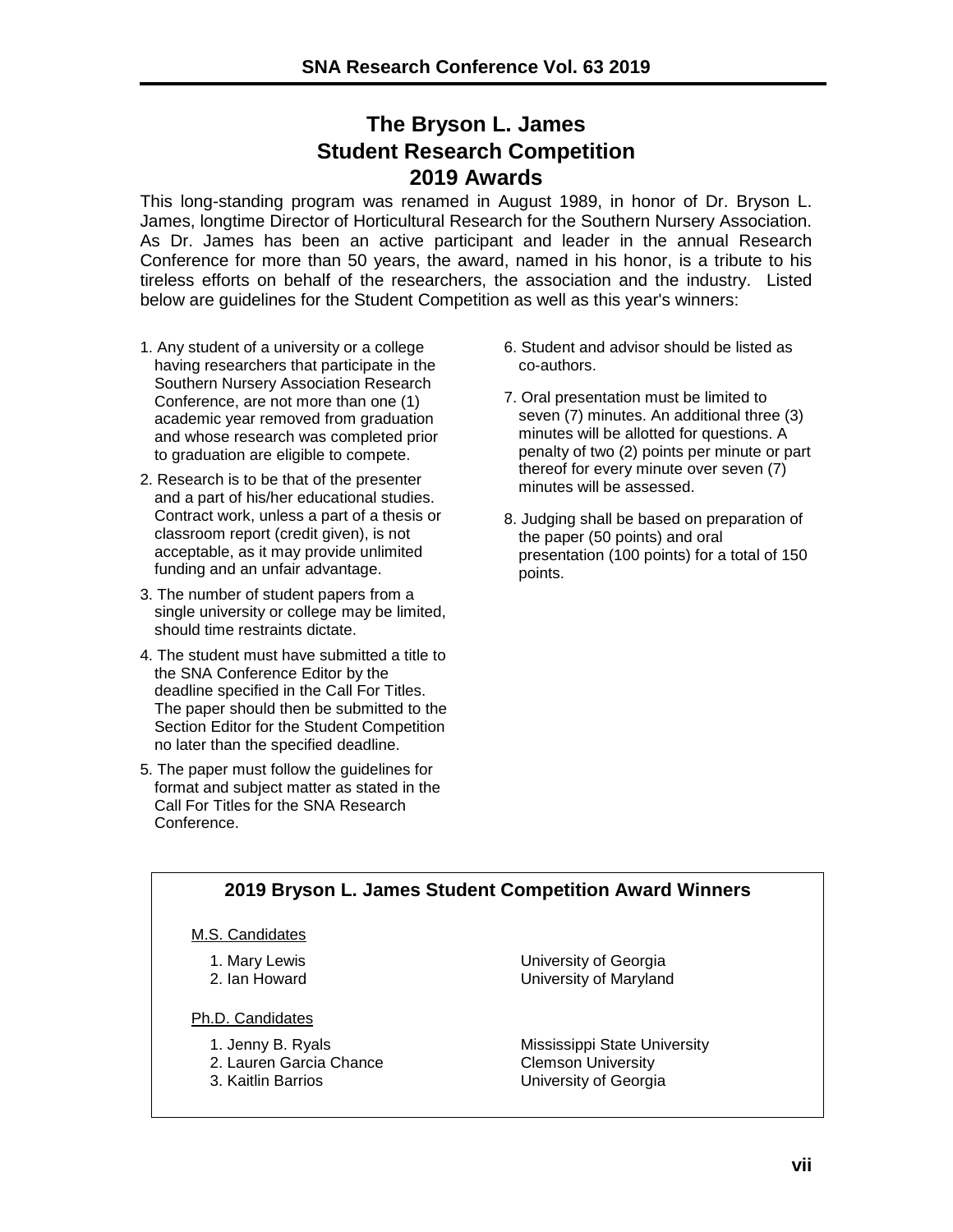### **The Bryson L. James Student Research Competition 2019 Awards**

This long-standing program was renamed in August 1989, in honor of Dr. Bryson L. James, longtime Director of Horticultural Research for the Southern Nursery Association. As Dr. James has been an active participant and leader in the annual Research Conference for more than 50 years, the award, named in his honor, is a tribute to his tireless efforts on behalf of the researchers, the association and the industry. Listed below are guidelines for the Student Competition as well as this year's winners:

- 1. Any student of a university or a college having researchers that participate in the Southern Nursery Association Research Conference, are not more than one (1) academic year removed from graduation and whose research was completed prior to graduation are eligible to compete.
- 2. Research is to be that of the presenter and a part of his/her educational studies. Contract work, unless a part of a thesis or classroom report (credit given), is not acceptable, as it may provide unlimited funding and an unfair advantage.
- 3. The number of student papers from a single university or college may be limited, should time restraints dictate.
- 4. The student must have submitted a title to the SNA Conference Editor by the deadline specified in the Call For Titles. The paper should then be submitted to the Section Editor for the Student Competition no later than the specified deadline.
- 5. The paper must follow the guidelines for format and subject matter as stated in the Call For Titles for the SNA Research **Conference**
- 6. Student and advisor should be listed as co-authors.
- 7. Oral presentation must be limited to seven (7) minutes. An additional three (3) minutes will be allotted for questions. A penalty of two (2) points per minute or part thereof for every minute over seven (7) minutes will be assessed.
- 8. Judging shall be based on preparation of the paper (50 points) and oral presentation (100 points) for a total of 150 points.

### **2019 Bryson L. James Student Competition Award Winners**

#### M.S. Candidates

- 
- 
- Ph.D. Candidates
	- 2. Lauren Garcia Chance
	-
- 1. Mary Lewis University of Georgia 2. Ian Howard University of Maryland

1. Jenny B. Ryals Mississippi State University<br>2. Lauren Garcia Chance Mississippi Clemson University 3. Kaitlin Barrios University of Georgia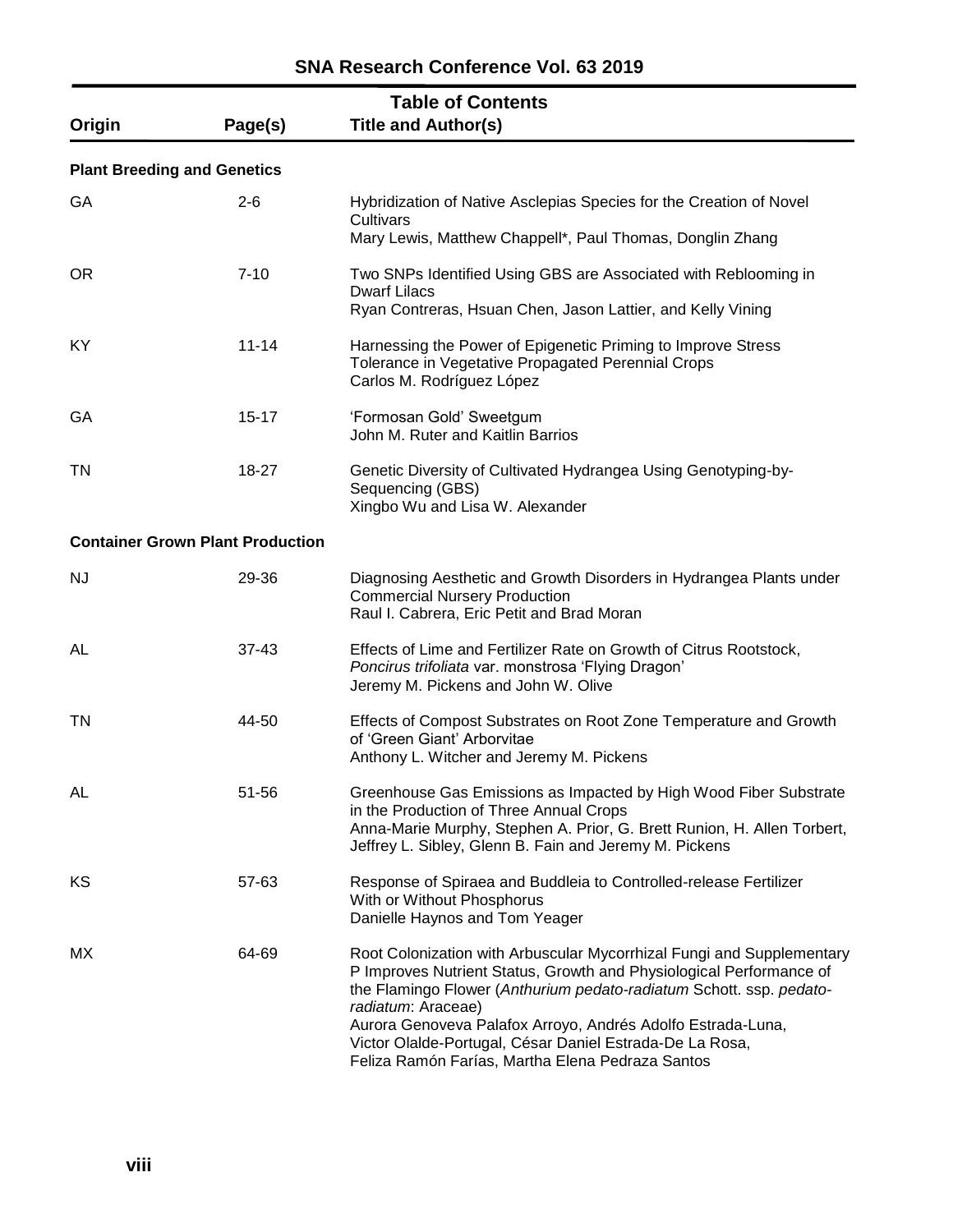|           | <b>Table of Contents</b>                |                                                                                                                                                                                                                                                                                                                                                                                                                          |  |  |  |  |
|-----------|-----------------------------------------|--------------------------------------------------------------------------------------------------------------------------------------------------------------------------------------------------------------------------------------------------------------------------------------------------------------------------------------------------------------------------------------------------------------------------|--|--|--|--|
| Origin    | Page(s)                                 | <b>Title and Author(s)</b>                                                                                                                                                                                                                                                                                                                                                                                               |  |  |  |  |
|           | <b>Plant Breeding and Genetics</b>      |                                                                                                                                                                                                                                                                                                                                                                                                                          |  |  |  |  |
| GA        | $2 - 6$                                 | Hybridization of Native Asclepias Species for the Creation of Novel<br>Cultivars<br>Mary Lewis, Matthew Chappell*, Paul Thomas, Donglin Zhang                                                                                                                                                                                                                                                                            |  |  |  |  |
| <b>OR</b> | $7 - 10$                                | Two SNPs Identified Using GBS are Associated with Reblooming in<br><b>Dwarf Lilacs</b><br>Ryan Contreras, Hsuan Chen, Jason Lattier, and Kelly Vining                                                                                                                                                                                                                                                                    |  |  |  |  |
| KY        | $11 - 14$                               | Harnessing the Power of Epigenetic Priming to Improve Stress<br>Tolerance in Vegetative Propagated Perennial Crops<br>Carlos M. Rodríguez López                                                                                                                                                                                                                                                                          |  |  |  |  |
| GA        | $15 - 17$                               | 'Formosan Gold' Sweetgum<br>John M. Ruter and Kaitlin Barrios                                                                                                                                                                                                                                                                                                                                                            |  |  |  |  |
| TN        | 18-27                                   | Genetic Diversity of Cultivated Hydrangea Using Genotyping-by-<br>Sequencing (GBS)<br>Xingbo Wu and Lisa W. Alexander                                                                                                                                                                                                                                                                                                    |  |  |  |  |
|           | <b>Container Grown Plant Production</b> |                                                                                                                                                                                                                                                                                                                                                                                                                          |  |  |  |  |
| <b>NJ</b> | 29-36                                   | Diagnosing Aesthetic and Growth Disorders in Hydrangea Plants under<br><b>Commercial Nursery Production</b><br>Raul I. Cabrera, Eric Petit and Brad Moran                                                                                                                                                                                                                                                                |  |  |  |  |
| AL        | $37 - 43$                               | Effects of Lime and Fertilizer Rate on Growth of Citrus Rootstock,<br>Poncirus trifoliata var. monstrosa 'Flying Dragon'<br>Jeremy M. Pickens and John W. Olive                                                                                                                                                                                                                                                          |  |  |  |  |
| TN        | 44-50                                   | Effects of Compost Substrates on Root Zone Temperature and Growth<br>of 'Green Giant' Arborvitae<br>Anthony L. Witcher and Jeremy M. Pickens                                                                                                                                                                                                                                                                             |  |  |  |  |
| AL        | 51-56                                   | Greenhouse Gas Emissions as Impacted by High Wood Fiber Substrate<br>in the Production of Three Annual Crops<br>Anna-Marie Murphy, Stephen A. Prior, G. Brett Runion, H. Allen Torbert,<br>Jeffrey L. Sibley, Glenn B. Fain and Jeremy M. Pickens                                                                                                                                                                        |  |  |  |  |
| KS        | 57-63                                   | Response of Spiraea and Buddleia to Controlled-release Fertilizer<br>With or Without Phosphorus<br>Danielle Haynos and Tom Yeager                                                                                                                                                                                                                                                                                        |  |  |  |  |
| МX        | 64-69                                   | Root Colonization with Arbuscular Mycorrhizal Fungi and Supplementary<br>P Improves Nutrient Status, Growth and Physiological Performance of<br>the Flamingo Flower (Anthurium pedato-radiatum Schott. ssp. pedato-<br>radiatum: Araceae)<br>Aurora Genoveva Palafox Arroyo, Andrés Adolfo Estrada-Luna,<br>Victor Olalde-Portugal, César Daniel Estrada-De La Rosa,<br>Feliza Ramón Farías, Martha Elena Pedraza Santos |  |  |  |  |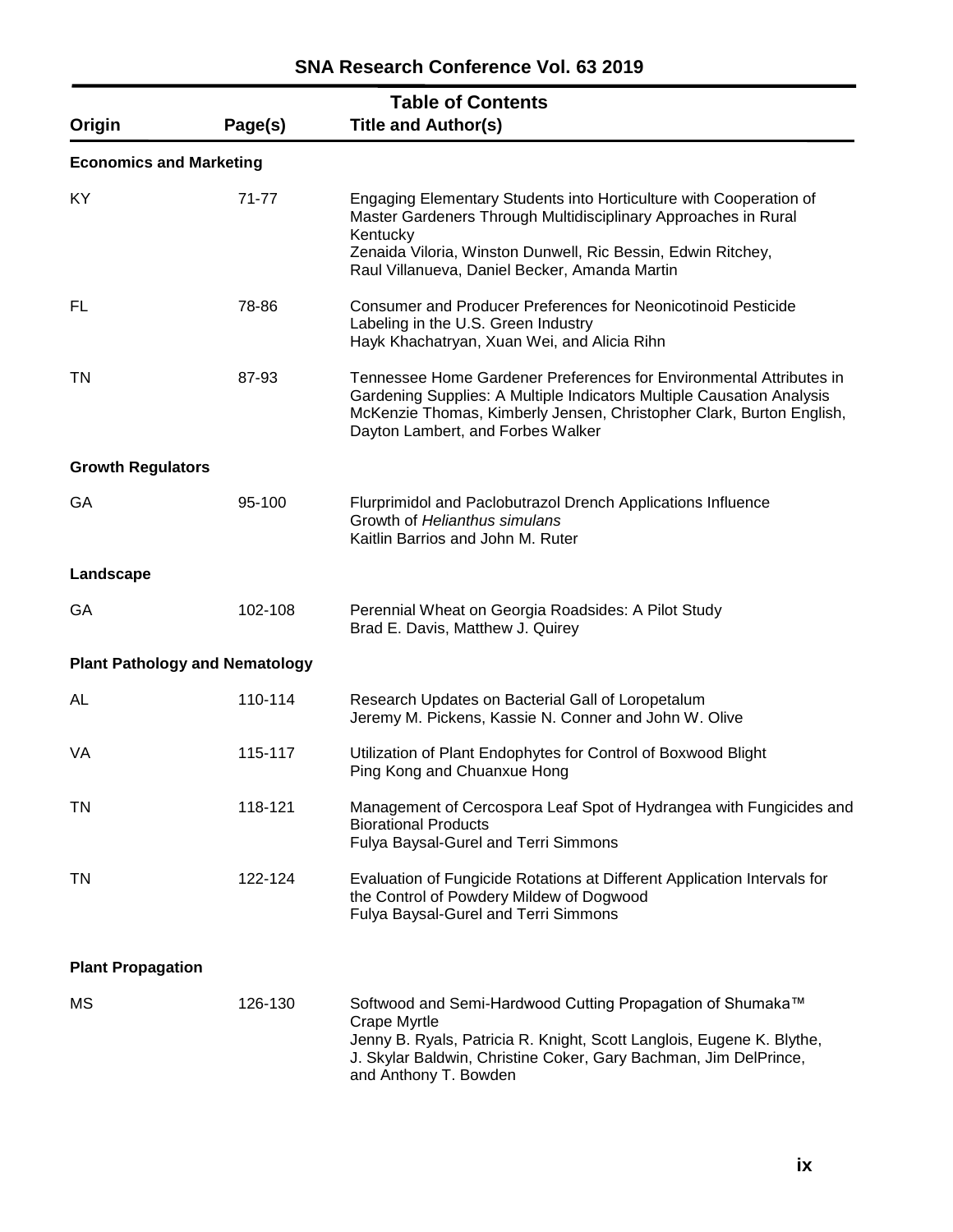| Origin                         | Page(s)                               | <b>Table of Contents</b><br><b>Title and Author(s)</b>                                                                                                                                                                                                            |
|--------------------------------|---------------------------------------|-------------------------------------------------------------------------------------------------------------------------------------------------------------------------------------------------------------------------------------------------------------------|
| <b>Economics and Marketing</b> |                                       |                                                                                                                                                                                                                                                                   |
| KY                             | 71-77                                 | Engaging Elementary Students into Horticulture with Cooperation of<br>Master Gardeners Through Multidisciplinary Approaches in Rural<br>Kentucky<br>Zenaida Viloria, Winston Dunwell, Ric Bessin, Edwin Ritchey,<br>Raul Villanueva, Daniel Becker, Amanda Martin |
| FL                             | 78-86                                 | <b>Consumer and Producer Preferences for Neonicotinoid Pesticide</b><br>Labeling in the U.S. Green Industry<br>Hayk Khachatryan, Xuan Wei, and Alicia Rihn                                                                                                        |
| TN                             | 87-93                                 | Tennessee Home Gardener Preferences for Environmental Attributes in<br>Gardening Supplies: A Multiple Indicators Multiple Causation Analysis<br>McKenzie Thomas, Kimberly Jensen, Christopher Clark, Burton English,<br>Dayton Lambert, and Forbes Walker         |
| <b>Growth Regulators</b>       |                                       |                                                                                                                                                                                                                                                                   |
| GA                             | 95-100                                | Flurprimidol and Paclobutrazol Drench Applications Influence<br>Growth of Helianthus simulans<br>Kaitlin Barrios and John M. Ruter                                                                                                                                |
| Landscape                      |                                       |                                                                                                                                                                                                                                                                   |
| GA                             | 102-108                               | Perennial Wheat on Georgia Roadsides: A Pilot Study<br>Brad E. Davis, Matthew J. Quirey                                                                                                                                                                           |
|                                | <b>Plant Pathology and Nematology</b> |                                                                                                                                                                                                                                                                   |
| AL                             | 110-114                               | Research Updates on Bacterial Gall of Loropetalum<br>Jeremy M. Pickens, Kassie N. Conner and John W. Olive                                                                                                                                                        |
| VA                             | 115-117                               | Utilization of Plant Endophytes for Control of Boxwood Blight<br>Ping Kong and Chuanxue Hong                                                                                                                                                                      |
| TN                             | 118-121                               | Management of Cercospora Leaf Spot of Hydrangea with Fungicides and<br><b>Biorational Products</b><br>Fulya Baysal-Gurel and Terri Simmons                                                                                                                        |
| TN                             | 122-124                               | Evaluation of Fungicide Rotations at Different Application Intervals for<br>the Control of Powdery Mildew of Dogwood<br>Fulya Baysal-Gurel and Terri Simmons                                                                                                      |
| <b>Plant Propagation</b>       |                                       |                                                                                                                                                                                                                                                                   |
| MS                             | 126-130                               | Softwood and Semi-Hardwood Cutting Propagation of Shumaka™<br>Crape Myrtle<br>Jenny B. Ryals, Patricia R. Knight, Scott Langlois, Eugene K. Blythe,<br>J. Skylar Baldwin, Christine Coker, Gary Bachman, Jim DelPrince,<br>and Anthony T. Bowden                  |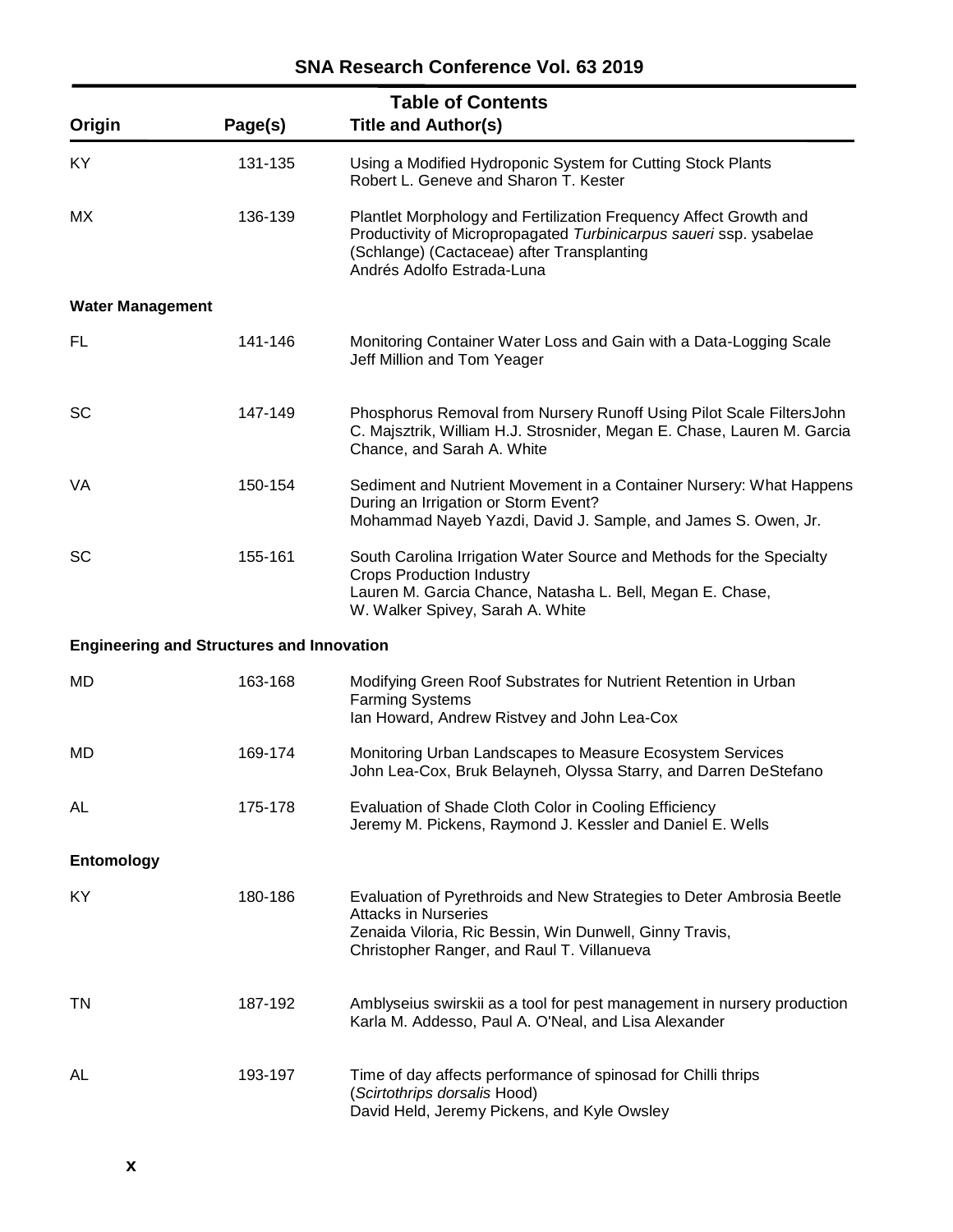**SNA Research Conference Vol. 63 2019**

| Origin                                           | Page(s) | <b>Table of Contents</b><br><b>Title and Author(s)</b>                                                                                                                                                              |
|--------------------------------------------------|---------|---------------------------------------------------------------------------------------------------------------------------------------------------------------------------------------------------------------------|
| KY                                               | 131-135 | Using a Modified Hydroponic System for Cutting Stock Plants<br>Robert L. Geneve and Sharon T. Kester                                                                                                                |
| MX.                                              | 136-139 | Plantlet Morphology and Fertilization Frequency Affect Growth and<br>Productivity of Micropropagated Turbinicarpus saueri ssp. ysabelae<br>(Schlange) (Cactaceae) after Transplanting<br>Andrés Adolfo Estrada-Luna |
| <b>Water Management</b>                          |         |                                                                                                                                                                                                                     |
| FL                                               | 141-146 | Monitoring Container Water Loss and Gain with a Data-Logging Scale<br>Jeff Million and Tom Yeager                                                                                                                   |
| <b>SC</b>                                        | 147-149 | Phosphorus Removal from Nursery Runoff Using Pilot Scale FiltersJohn<br>C. Majsztrik, William H.J. Strosnider, Megan E. Chase, Lauren M. Garcia<br>Chance, and Sarah A. White                                       |
| VA                                               | 150-154 | Sediment and Nutrient Movement in a Container Nursery: What Happens<br>During an Irrigation or Storm Event?<br>Mohammad Nayeb Yazdi, David J. Sample, and James S. Owen, Jr.                                        |
| <b>SC</b>                                        | 155-161 | South Carolina Irrigation Water Source and Methods for the Specialty<br><b>Crops Production Industry</b><br>Lauren M. Garcia Chance, Natasha L. Bell, Megan E. Chase,<br>W. Walker Spivey, Sarah A. White           |
| <b>Engineering and Structures and Innovation</b> |         |                                                                                                                                                                                                                     |
| MD                                               | 163-168 | Modifying Green Roof Substrates for Nutrient Retention in Urban<br><b>Farming Systems</b><br>Ian Howard, Andrew Ristvey and John Lea-Cox                                                                            |
| MD                                               | 169-174 | Monitoring Urban Landscapes to Measure Ecosystem Services<br>John Lea-Cox, Bruk Belayneh, Olyssa Starry, and Darren DeStefano                                                                                       |
| AL                                               | 175-178 | Evaluation of Shade Cloth Color in Cooling Efficiency<br>Jeremy M. Pickens, Raymond J. Kessler and Daniel E. Wells                                                                                                  |
| <b>Entomology</b>                                |         |                                                                                                                                                                                                                     |
| KY.                                              | 180-186 | Evaluation of Pyrethroids and New Strategies to Deter Ambrosia Beetle<br><b>Attacks in Nurseries</b><br>Zenaida Viloria, Ric Bessin, Win Dunwell, Ginny Travis,<br>Christopher Ranger, and Raul T. Villanueva       |
| TN                                               | 187-192 | Amblyseius swirskii as a tool for pest management in nursery production<br>Karla M. Addesso, Paul A. O'Neal, and Lisa Alexander                                                                                     |
| AL                                               | 193-197 | Time of day affects performance of spinosad for Chilli thrips<br>(Scirtothrips dorsalis Hood)<br>David Held, Jeremy Pickens, and Kyle Owsley                                                                        |